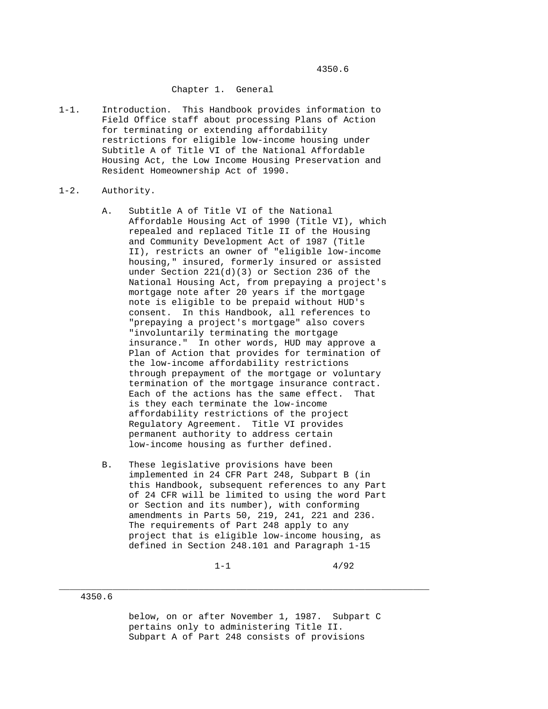## Chapter 1. General

1-1. Introduction. This Handbook provides information to Field Office staff about processing Plans of Action for terminating or extending affordability restrictions for eligible low-income housing under Subtitle A of Title VI of the National Affordable Housing Act, the Low Income Housing Preservation and Resident Homeownership Act of 1990.

#### 1-2. Authority.

- A. Subtitle A of Title VI of the National Affordable Housing Act of 1990 (Title VI), which repealed and replaced Title II of the Housing and Community Development Act of 1987 (Title II), restricts an owner of "eligible low-income housing," insured, formerly insured or assisted under Section 221(d)(3) or Section 236 of the National Housing Act, from prepaying a project's mortgage note after 20 years if the mortgage note is eligible to be prepaid without HUD's consent. In this Handbook, all references to "prepaying a project's mortgage" also covers "involuntarily terminating the mortgage insurance." In other words, HUD may approve a Plan of Action that provides for termination of the low-income affordability restrictions through prepayment of the mortgage or voluntary termination of the mortgage insurance contract. Each of the actions has the same effect. That is they each terminate the low-income affordability restrictions of the project Regulatory Agreement. Title VI provides permanent authority to address certain low-income housing as further defined.
- B. These legislative provisions have been implemented in 24 CFR Part 248, Subpart B (in this Handbook, subsequent references to any Part of 24 CFR will be limited to using the word Part or Section and its number), with conforming amendments in Parts 50, 219, 241, 221 and 236. The requirements of Part 248 apply to any project that is eligible low-income housing, as defined in Section 248.101 and Paragraph 1-15

 $1-1$  4/92

# 4350.6

 below, on or after November 1, 1987. Subpart C pertains only to administering Title II. Subpart A of Part 248 consists of provisions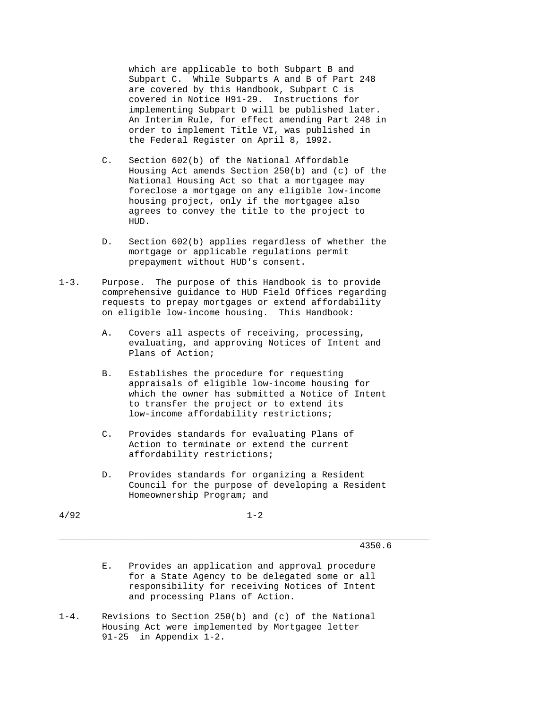which are applicable to both Subpart B and Subpart C. While Subparts A and B of Part 248 are covered by this Handbook, Subpart C is covered in Notice H91-29. Instructions for implementing Subpart D will be published later. An Interim Rule, for effect amending Part 248 in order to implement Title VI, was published in the Federal Register on April 8, 1992.

- C. Section 602(b) of the National Affordable Housing Act amends Section 250(b) and (c) of the National Housing Act so that a mortgagee may foreclose a mortgage on any eligible low-income housing project, only if the mortgagee also agrees to convey the title to the project to HUD.
- D. Section 602(b) applies regardless of whether the mortgage or applicable regulations permit prepayment without HUD's consent.
- 1-3. Purpose. The purpose of this Handbook is to provide comprehensive guidance to HUD Field Offices regarding requests to prepay mortgages or extend affordability on eligible low-income housing. This Handbook:
	- A. Covers all aspects of receiving, processing, evaluating, and approving Notices of Intent and Plans of Action;
	- B. Establishes the procedure for requesting appraisals of eligible low-income housing for which the owner has submitted a Notice of Intent to transfer the project or to extend its low-income affordability restrictions;
	- C. Provides standards for evaluating Plans of Action to terminate or extend the current affordability restrictions;
	- D. Provides standards for organizing a Resident Council for the purpose of developing a Resident Homeownership Program; and

\_\_\_\_\_\_\_\_\_\_\_\_\_\_\_\_\_\_\_\_\_\_\_\_\_\_\_\_\_\_\_\_\_\_\_\_\_\_\_\_\_\_\_\_\_\_\_\_\_\_\_\_\_\_\_\_\_\_\_\_\_\_\_\_\_\_\_\_\_

 $4/92$  1-2

- E. Provides an application and approval procedure for a State Agency to be delegated some or all responsibility for receiving Notices of Intent and processing Plans of Action.
- 1-4. Revisions to Section 250(b) and (c) of the National Housing Act were implemented by Mortgagee letter 91-25 in Appendix 1-2.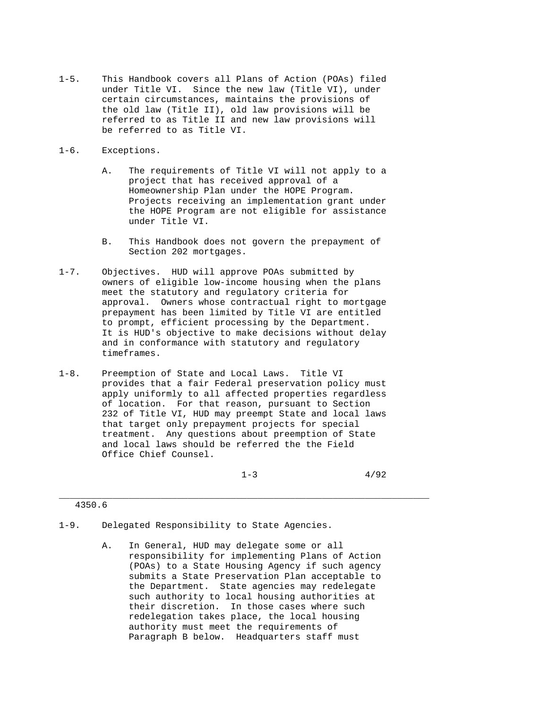1-5. This Handbook covers all Plans of Action (POAs) filed under Title VI. Since the new law (Title VI), under certain circumstances, maintains the provisions of the old law (Title II), old law provisions will be referred to as Title II and new law provisions will be referred to as Title VI.

## 1-6. Exceptions.

- A. The requirements of Title VI will not apply to a project that has received approval of a Homeownership Plan under the HOPE Program. Projects receiving an implementation grant under the HOPE Program are not eligible for assistance under Title VI.
- B. This Handbook does not govern the prepayment of Section 202 mortgages.
- 1-7. Objectives. HUD will approve POAs submitted by owners of eligible low-income housing when the plans meet the statutory and regulatory criteria for approval. Owners whose contractual right to mortgage prepayment has been limited by Title VI are entitled to prompt, efficient processing by the Department. It is HUD's objective to make decisions without delay and in conformance with statutory and regulatory timeframes.
- 1-8. Preemption of State and Local Laws. Title VI provides that a fair Federal preservation policy must apply uniformly to all affected properties regardless of location. For that reason, pursuant to Section 232 of Title VI, HUD may preempt State and local laws that target only prepayment projects for special treatment. Any questions about preemption of State and local laws should be referred the the Field Office Chief Counsel.

 $1-3$  4/92

- 1-9. Delegated Responsibility to State Agencies.
	- A. In General, HUD may delegate some or all responsibility for implementing Plans of Action (POAs) to a State Housing Agency if such agency submits a State Preservation Plan acceptable to the Department. State agencies may redelegate such authority to local housing authorities at their discretion. In those cases where such redelegation takes place, the local housing authority must meet the requirements of Paragraph B below. Headquarters staff must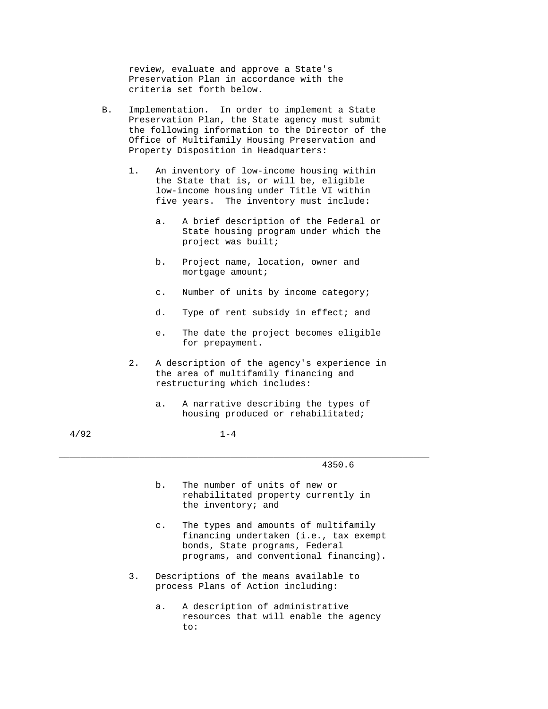review, evaluate and approve a State's Preservation Plan in accordance with the criteria set forth below.

- B. Implementation. In order to implement a State Preservation Plan, the State agency must submit the following information to the Director of the Office of Multifamily Housing Preservation and Property Disposition in Headquarters:
	- 1. An inventory of low-income housing within the State that is, or will be, eligible low-income housing under Title VI within five years. The inventory must include:
		- a. A brief description of the Federal or State housing program under which the project was built;
		- b. Project name, location, owner and mortgage amount;
		- c. Number of units by income category;
		- d. Type of rent subsidy in effect; and
		- e. The date the project becomes eligible for prepayment.
	- 2. A description of the agency's experience in the area of multifamily financing and restructuring which includes:
		- a. A narrative describing the types of housing produced or rehabilitated;

\_\_\_\_\_\_\_\_\_\_\_\_\_\_\_\_\_\_\_\_\_\_\_\_\_\_\_\_\_\_\_\_\_\_\_\_\_\_\_\_\_\_\_\_\_\_\_\_\_\_\_\_\_\_\_\_\_\_\_\_\_\_\_\_\_\_\_\_\_

- b. The number of units of new or rehabilitated property currently in the inventory; and
- c. The types and amounts of multifamily financing undertaken (i.e., tax exempt bonds, State programs, Federal programs, and conventional financing).
- 3. Descriptions of the means available to process Plans of Action including:
- a. A description of administrative resources that will enable the agency to: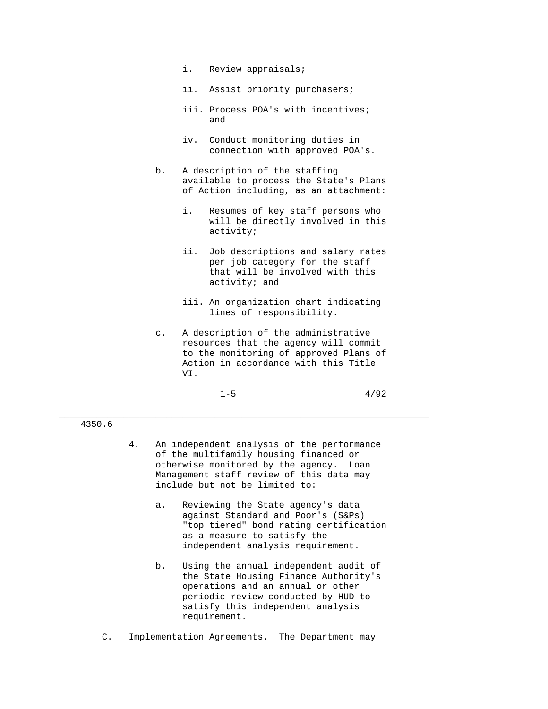- i. Review appraisals;
- ii. Assist priority purchasers;
- iii. Process POA's with incentives; and the contract of the contract of the contract of the contract of the contract of the contract of the contract of the contract of the contract of the contract of the contract of the contract of the contract of the contra
	- iv. Conduct monitoring duties in connection with approved POA's.
	- b. A description of the staffing available to process the State's Plans of Action including, as an attachment:
		- i. Resumes of key staff persons who will be directly involved in this activity;
		- ii. Job descriptions and salary rates per job category for the staff that will be involved with this activity; and
		- iii. An organization chart indicating lines of responsibility.
- c. A description of the administrative resources that the agency will commit to the monitoring of approved Plans of Action in accordance with this Title VI.
- $1-5$   $4/92$

# 4350.6

 4. An independent analysis of the performance of the multifamily housing financed or otherwise monitored by the agency. Loan Management staff review of this data may include but not be limited to:

- a. Reviewing the State agency's data against Standard and Poor's (S&Ps) "top tiered" bond rating certification as a measure to satisfy the independent analysis requirement.
- b. Using the annual independent audit of the State Housing Finance Authority's operations and an annual or other periodic review conducted by HUD to satisfy this independent analysis requirement.
- C. Implementation Agreements. The Department may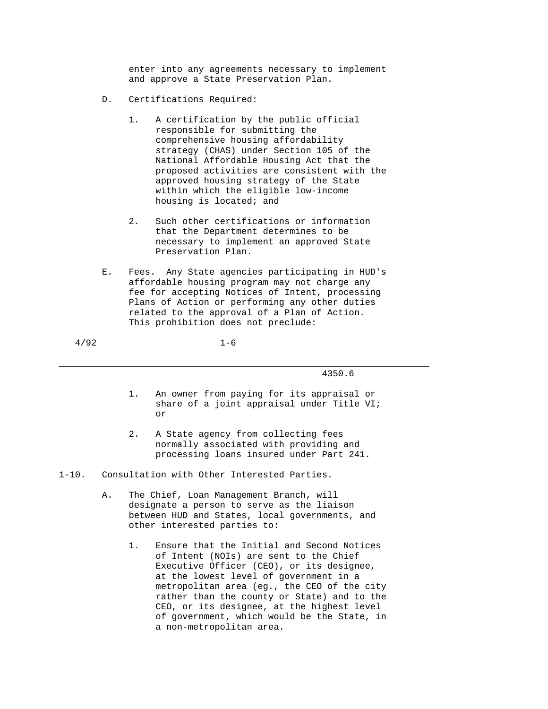enter into any agreements necessary to implement and approve a State Preservation Plan.

- D. Certifications Required:
	- 1. A certification by the public official responsible for submitting the comprehensive housing affordability strategy (CHAS) under Section 105 of the National Affordable Housing Act that the proposed activities are consistent with the approved housing strategy of the State within which the eligible low-income housing is located; and
	- 2. Such other certifications or information that the Department determines to be necessary to implement an approved State Preservation Plan.
- E. Fees. Any State agencies participating in HUD's affordable housing program may not charge any fee for accepting Notices of Intent, processing Plans of Action or performing any other duties related to the approval of a Plan of Action. This prohibition does not preclude:

\_\_\_\_\_\_\_\_\_\_\_\_\_\_\_\_\_\_\_\_\_\_\_\_\_\_\_\_\_\_\_\_\_\_\_\_\_\_\_\_\_\_\_\_\_\_\_\_\_\_\_\_\_\_\_\_\_\_\_\_\_\_\_\_\_\_\_\_\_

- 1. An owner from paying for its appraisal or share of a joint appraisal under Title VI; or
	- 2. A State agency from collecting fees normally associated with providing and processing loans insured under Part 241.
- 1-10. Consultation with Other Interested Parties.
	- A. The Chief, Loan Management Branch, will designate a person to serve as the liaison between HUD and States, local governments, and other interested parties to:
		- 1. Ensure that the Initial and Second Notices of Intent (NOIs) are sent to the Chief Executive Officer (CEO), or its designee, at the lowest level of government in a metropolitan area (eg., the CEO of the city rather than the county or State) and to the CEO, or its designee, at the highest level of government, which would be the State, in a non-metropolitan area.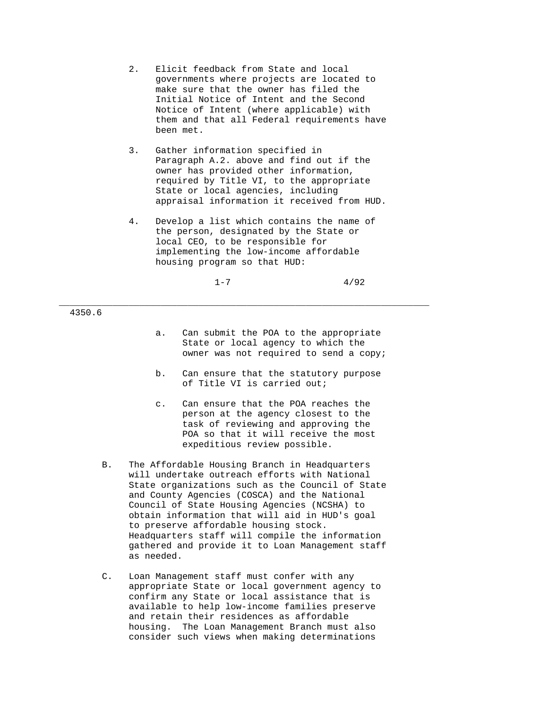- 2. Elicit feedback from State and local governments where projects are located to make sure that the owner has filed the Initial Notice of Intent and the Second Notice of Intent (where applicable) with them and that all Federal requirements have been met.
- 3. Gather information specified in Paragraph A.2. above and find out if the owner has provided other information, required by Title VI, to the appropriate State or local agencies, including appraisal information it received from HUD.
- 4. Develop a list which contains the name of the person, designated by the State or local CEO, to be responsible for implementing the low-income affordable housing program so that HUD:

\_\_\_\_\_\_\_\_\_\_\_\_\_\_\_\_\_\_\_\_\_\_\_\_\_\_\_\_\_\_\_\_\_\_\_\_\_\_\_\_\_\_\_\_\_\_\_\_\_\_\_\_\_\_\_\_\_\_\_\_\_\_\_\_\_\_\_\_\_

- a. Can submit the POA to the appropriate State or local agency to which the owner was not required to send a copy;
- b. Can ensure that the statutory purpose of Title VI is carried out;
- c. Can ensure that the POA reaches the person at the agency closest to the task of reviewing and approving the POA so that it will receive the most expeditious review possible.
- B. The Affordable Housing Branch in Headquarters will undertake outreach efforts with National State organizations such as the Council of State and County Agencies (COSCA) and the National Council of State Housing Agencies (NCSHA) to obtain information that will aid in HUD's goal to preserve affordable housing stock. Headquarters staff will compile the information gathered and provide it to Loan Management staff as needed.
- C. Loan Management staff must confer with any appropriate State or local government agency to confirm any State or local assistance that is available to help low-income families preserve and retain their residences as affordable housing. The Loan Management Branch must also consider such views when making determinations

 $1-7$  4/92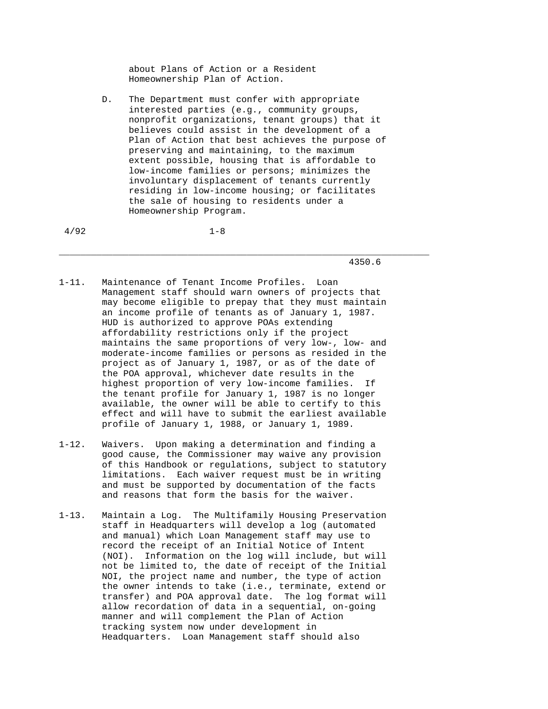about Plans of Action or a Resident Homeownership Plan of Action.

 D. The Department must confer with appropriate interested parties (e.g., community groups, nonprofit organizations, tenant groups) that it believes could assist in the development of a Plan of Action that best achieves the purpose of preserving and maintaining, to the maximum extent possible, housing that is affordable to low-income families or persons; minimizes the involuntary displacement of tenants currently residing in low-income housing; or facilitates the sale of housing to residents under a Homeownership Program.

\_\_\_\_\_\_\_\_\_\_\_\_\_\_\_\_\_\_\_\_\_\_\_\_\_\_\_\_\_\_\_\_\_\_\_\_\_\_\_\_\_\_\_\_\_\_\_\_\_\_\_\_\_\_\_\_\_\_\_\_\_\_\_\_\_\_\_\_\_

 $4/92$  1-8

- 1-11. Maintenance of Tenant Income Profiles. Loan Management staff should warn owners of projects that may become eligible to prepay that they must maintain an income profile of tenants as of January 1, 1987. HUD is authorized to approve POAs extending affordability restrictions only if the project maintains the same proportions of very low-, low- and moderate-income families or persons as resided in the project as of January 1, 1987, or as of the date of the POA approval, whichever date results in the highest proportion of very low-income families. If the tenant profile for January 1, 1987 is no longer available, the owner will be able to certify to this effect and will have to submit the earliest available profile of January 1, 1988, or January 1, 1989.
- 1-12. Waivers. Upon making a determination and finding a good cause, the Commissioner may waive any provision of this Handbook or regulations, subject to statutory limitations. Each waiver request must be in writing and must be supported by documentation of the facts and reasons that form the basis for the waiver.
- 1-13. Maintain a Log. The Multifamily Housing Preservation staff in Headquarters will develop a log (automated and manual) which Loan Management staff may use to record the receipt of an Initial Notice of Intent (NOI). Information on the log will include, but will not be limited to, the date of receipt of the Initial NOI, the project name and number, the type of action the owner intends to take (i.e., terminate, extend or transfer) and POA approval date. The log format will allow recordation of data in a sequential, on-going manner and will complement the Plan of Action tracking system now under development in Headquarters. Loan Management staff should also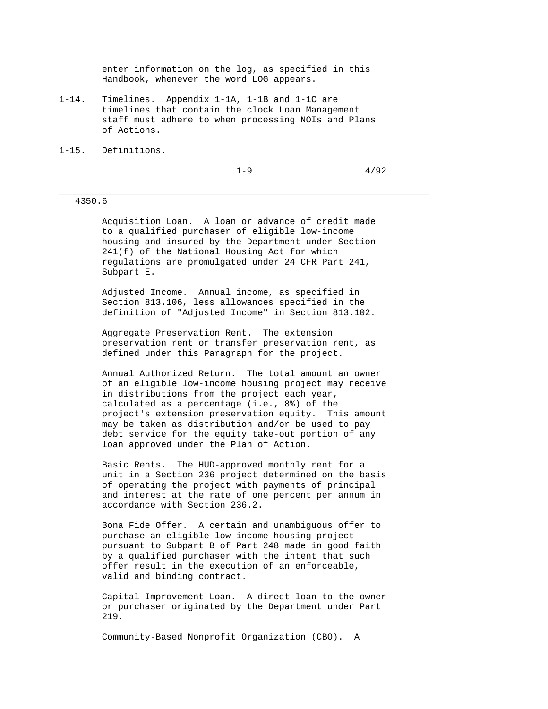enter information on the log, as specified in this Handbook, whenever the word LOG appears.

- 1-14. Timelines. Appendix 1-1A, 1-1B and 1-1C are timelines that contain the clock Loan Management staff must adhere to when processing NOIs and Plans of Actions.
- 1-15. Definitions.

4350.6

 Acquisition Loan. A loan or advance of credit made to a qualified purchaser of eligible low-income housing and insured by the Department under Section 241(f) of the National Housing Act for which regulations are promulgated under 24 CFR Part 241, Subpart E.

\_\_\_\_\_\_\_\_\_\_\_\_\_\_\_\_\_\_\_\_\_\_\_\_\_\_\_\_\_\_\_\_\_\_\_\_\_\_\_\_\_\_\_\_\_\_\_\_\_\_\_\_\_\_\_\_\_\_\_\_\_\_\_\_\_\_\_\_\_

 Adjusted Income. Annual income, as specified in Section 813.106, less allowances specified in the definition of "Adjusted Income" in Section 813.102.

> Aggregate Preservation Rent. The extension preservation rent or transfer preservation rent, as defined under this Paragraph for the project.

 Annual Authorized Return. The total amount an owner of an eligible low-income housing project may receive in distributions from the project each year, calculated as a percentage (i.e., 8%) of the project's extension preservation equity. This amount may be taken as distribution and/or be used to pay debt service for the equity take-out portion of any loan approved under the Plan of Action.

 Basic Rents. The HUD-approved monthly rent for a unit in a Section 236 project determined on the basis of operating the project with payments of principal and interest at the rate of one percent per annum in accordance with Section 236.2.

 Bona Fide Offer. A certain and unambiguous offer to purchase an eligible low-income housing project pursuant to Subpart B of Part 248 made in good faith by a qualified purchaser with the intent that such offer result in the execution of an enforceable, valid and binding contract.

 Capital Improvement Loan. A direct loan to the owner or purchaser originated by the Department under Part 219.

Community-Based Nonprofit Organization (CBO). A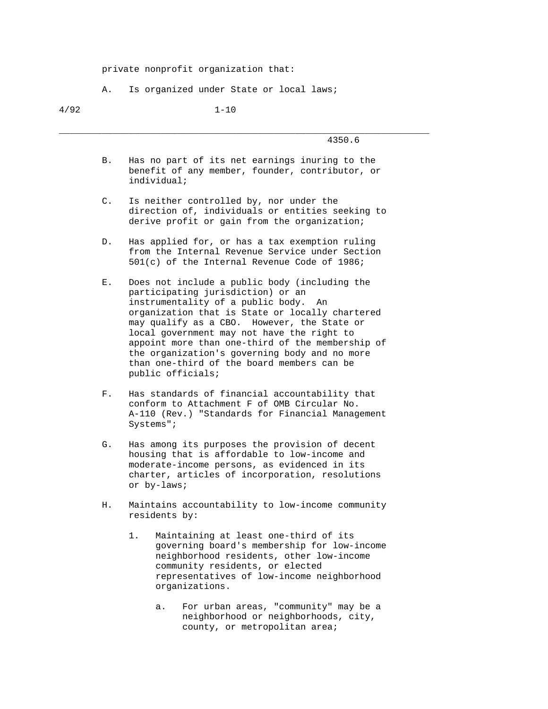private nonprofit organization that:

A. Is organized under State or local laws;

# 4/92 1-10

| 4350.6<br>__ |
|--------------|
|              |

 B. Has no part of its net earnings inuring to the benefit of any member, founder, contributor, or individual;

- C. Is neither controlled by, nor under the direction of, individuals or entities seeking to derive profit or gain from the organization;
- D. Has applied for, or has a tax exemption ruling from the Internal Revenue Service under Section 501(c) of the Internal Revenue Code of 1986;
- E. Does not include a public body (including the participating jurisdiction) or an instrumentality of a public body. An organization that is State or locally chartered may qualify as a CBO. However, the State or local government may not have the right to appoint more than one-third of the membership of the organization's governing body and no more than one-third of the board members can be public officials;
- F. Has standards of financial accountability that conform to Attachment F of OMB Circular No. A-110 (Rev.) "Standards for Financial Management Systems";
- G. Has among its purposes the provision of decent housing that is affordable to low-income and moderate-income persons, as evidenced in its charter, articles of incorporation, resolutions or by-laws;
- H. Maintains accountability to low-income community residents by:
	- 1. Maintaining at least one-third of its governing board's membership for low-income neighborhood residents, other low-income community residents, or elected representatives of low-income neighborhood organizations.
		- a. For urban areas, "community" may be a neighborhood or neighborhoods, city, county, or metropolitan area;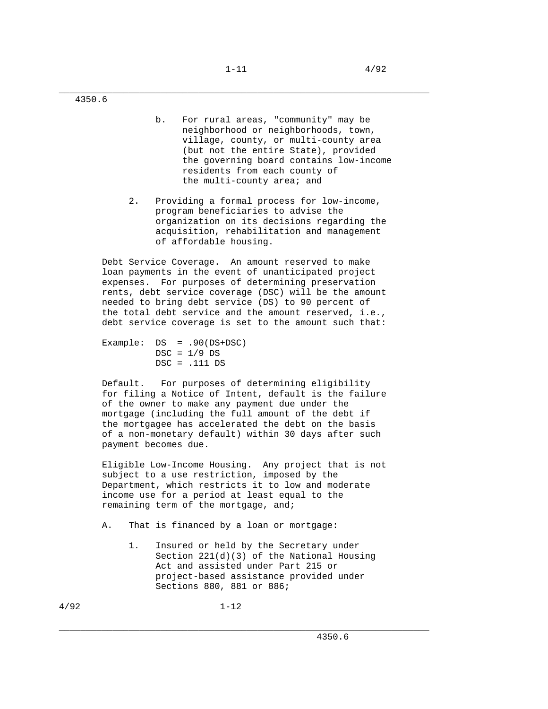\_\_\_\_\_\_\_\_\_\_\_\_\_\_\_\_\_\_\_\_\_\_\_\_\_\_\_\_\_\_\_\_\_\_\_\_\_\_\_\_\_\_\_\_\_\_\_\_\_\_\_\_\_\_\_\_\_\_\_\_\_\_\_\_\_\_\_\_\_ 4350.6

- b. For rural areas, "community" may be neighborhood or neighborhoods, town, village, county, or multi-county area (but not the entire State), provided the governing board contains low-income residents from each county of the multi-county area; and
- 2. Providing a formal process for low-income, program beneficiaries to advise the organization on its decisions regarding the acquisition, rehabilitation and management of affordable housing.

 Debt Service Coverage. An amount reserved to make loan payments in the event of unanticipated project expenses. For purposes of determining preservation rents, debt service coverage (DSC) will be the amount needed to bring debt service (DS) to 90 percent of the total debt service and the amount reserved, i.e., debt service coverage is set to the amount such that:

| Example: $DS = .90(DS+DSC)$ |
|-----------------------------|
| $DSC = 1/9 DS$              |
| $DSC = .111 DS$             |

 Default. For purposes of determining eligibility for filing a Notice of Intent, default is the failure of the owner to make any payment due under the mortgage (including the full amount of the debt if the mortgagee has accelerated the debt on the basis of a non-monetary default) within 30 days after such payment becomes due.

 Eligible Low-Income Housing. Any project that is not subject to a use restriction, imposed by the Department, which restricts it to low and moderate income use for a period at least equal to the remaining term of the mortgage, and;

- A. That is financed by a loan or mortgage:
	- 1. Insured or held by the Secretary under Section 221(d)(3) of the National Housing Act and assisted under Part 215 or project-based assistance provided under Sections 880, 881 or 886;

\_\_\_\_\_\_\_\_\_\_\_\_\_\_\_\_\_\_\_\_\_\_\_\_\_\_\_\_\_\_\_\_\_\_\_\_\_\_\_\_\_\_\_\_\_\_\_\_\_\_\_\_\_\_\_\_\_\_\_\_\_\_\_\_\_\_\_\_\_

4/92 1-12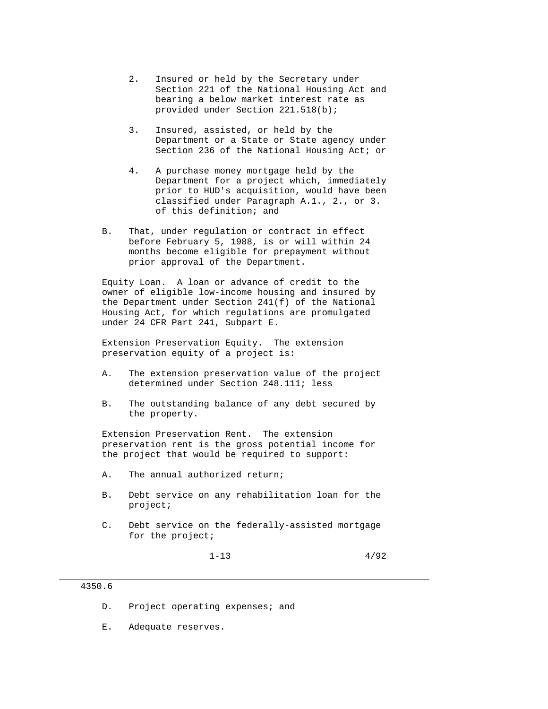- 2. Insured or held by the Secretary under Section 221 of the National Housing Act and bearing a below market interest rate as provided under Section 221.518(b);
- 3. Insured, assisted, or held by the Department or a State or State agency under Section 236 of the National Housing Act; or
- 4. A purchase money mortgage held by the Department for a project which, immediately prior to HUD's acquisition, would have been classified under Paragraph A.1., 2., or 3. of this definition; and
- B. That, under regulation or contract in effect before February 5, 1988, is or will within 24 months become eligible for prepayment without prior approval of the Department.

 Equity Loan. A loan or advance of credit to the owner of eligible low-income housing and insured by the Department under Section 241(f) of the National Housing Act, for which regulations are promulgated under 24 CFR Part 241, Subpart E.

 Extension Preservation Equity. The extension preservation equity of a project is:

- A. The extension preservation value of the project determined under Section 248.111; less
- B. The outstanding balance of any debt secured by the property.

 Extension Preservation Rent. The extension preservation rent is the gross potential income for the project that would be required to support:

- A. The annual authorized return;
- B. Debt service on any rehabilitation loan for the project;
- C. Debt service on the federally-assisted mortgage for the project;

\_\_\_\_\_\_\_\_\_\_\_\_\_\_\_\_\_\_\_\_\_\_\_\_\_\_\_\_\_\_\_\_\_\_\_\_\_\_\_\_\_\_\_\_\_\_\_\_\_\_\_\_\_\_\_\_\_\_\_\_\_\_\_\_\_\_\_\_\_

 $1-13$   $4/92$ 

- D. Project operating expenses; and
- E. Adequate reserves.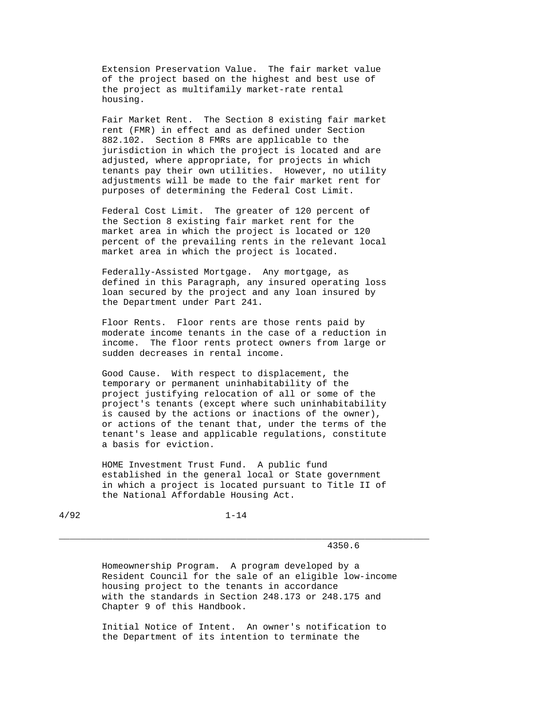Extension Preservation Value. The fair market value of the project based on the highest and best use of the project as multifamily market-rate rental housing.

 Fair Market Rent. The Section 8 existing fair market rent (FMR) in effect and as defined under Section 882.102. Section 8 FMRs are applicable to the jurisdiction in which the project is located and are adjusted, where appropriate, for projects in which tenants pay their own utilities. However, no utility adjustments will be made to the fair market rent for purposes of determining the Federal Cost Limit.

 Federal Cost Limit. The greater of 120 percent of the Section 8 existing fair market rent for the market area in which the project is located or 120 percent of the prevailing rents in the relevant local market area in which the project is located.

 Federally-Assisted Mortgage. Any mortgage, as defined in this Paragraph, any insured operating loss loan secured by the project and any loan insured by the Department under Part 241.

 Floor Rents. Floor rents are those rents paid by moderate income tenants in the case of a reduction in income. The floor rents protect owners from large or sudden decreases in rental income.

 Good Cause. With respect to displacement, the temporary or permanent uninhabitability of the project justifying relocation of all or some of the project's tenants (except where such uninhabitability is caused by the actions or inactions of the owner), or actions of the tenant that, under the terms of the tenant's lease and applicable regulations, constitute a basis for eviction.

 HOME Investment Trust Fund. A public fund established in the general local or State government in which a project is located pursuant to Title II of the National Affordable Housing Act.

4/92 1-14

\_\_\_\_\_\_\_\_\_\_\_\_\_\_\_\_\_\_\_\_\_\_\_\_\_\_\_\_\_\_\_\_\_\_\_\_\_\_\_\_\_\_\_\_\_\_\_\_\_\_\_\_\_\_\_\_\_\_\_\_\_\_\_\_\_\_\_\_\_

4350.6

 Homeownership Program. A program developed by a Resident Council for the sale of an eligible low-income housing project to the tenants in accordance with the standards in Section 248.173 or 248.175 and Chapter 9 of this Handbook.

 Initial Notice of Intent. An owner's notification to the Department of its intention to terminate the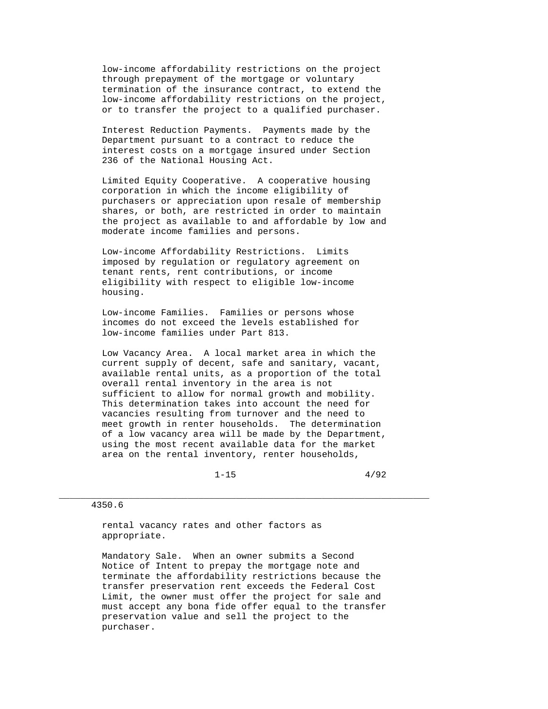low-income affordability restrictions on the project through prepayment of the mortgage or voluntary termination of the insurance contract, to extend the low-income affordability restrictions on the project, or to transfer the project to a qualified purchaser.

 Interest Reduction Payments. Payments made by the Department pursuant to a contract to reduce the interest costs on a mortgage insured under Section 236 of the National Housing Act.

 Limited Equity Cooperative. A cooperative housing corporation in which the income eligibility of purchasers or appreciation upon resale of membership shares, or both, are restricted in order to maintain the project as available to and affordable by low and moderate income families and persons.

 Low-income Affordability Restrictions. Limits imposed by regulation or regulatory agreement on tenant rents, rent contributions, or income eligibility with respect to eligible low-income housing.

 Low-income Families. Families or persons whose incomes do not exceed the levels established for low-income families under Part 813.

 Low Vacancy Area. A local market area in which the current supply of decent, safe and sanitary, vacant, available rental units, as a proportion of the total overall rental inventory in the area is not sufficient to allow for normal growth and mobility. This determination takes into account the need for vacancies resulting from turnover and the need to meet growth in renter households. The determination of a low vacancy area will be made by the Department, using the most recent available data for the market area on the rental inventory, renter households,

 $1-15$   $4/92$ 

#### 4350.6

 rental vacancy rates and other factors as appropriate.

 Mandatory Sale. When an owner submits a Second Notice of Intent to prepay the mortgage note and terminate the affordability restrictions because the transfer preservation rent exceeds the Federal Cost Limit, the owner must offer the project for sale and must accept any bona fide offer equal to the transfer preservation value and sell the project to the purchaser.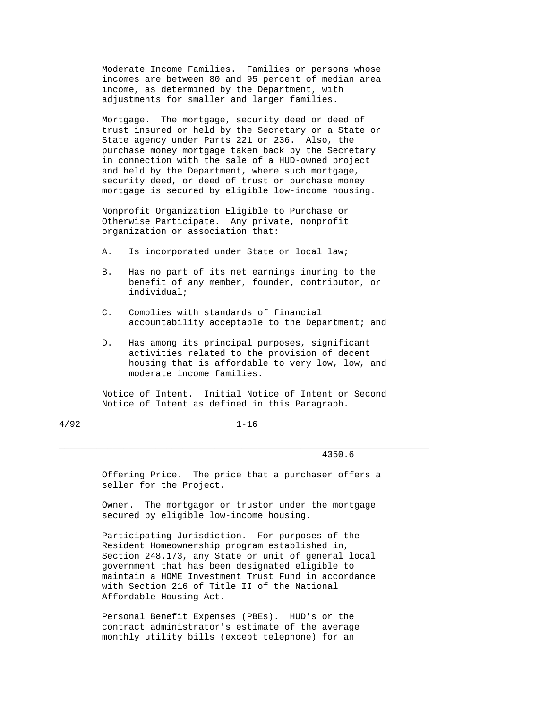Moderate Income Families. Families or persons whose incomes are between 80 and 95 percent of median area income, as determined by the Department, with adjustments for smaller and larger families.

 Mortgage. The mortgage, security deed or deed of trust insured or held by the Secretary or a State or State agency under Parts 221 or 236. Also, the purchase money mortgage taken back by the Secretary in connection with the sale of a HUD-owned project and held by the Department, where such mortgage, security deed, or deed of trust or purchase money mortgage is secured by eligible low-income housing.

 Nonprofit Organization Eligible to Purchase or Otherwise Participate. Any private, nonprofit organization or association that:

- A. Is incorporated under State or local law;
- B. Has no part of its net earnings inuring to the benefit of any member, founder, contributor, or individual;
- C. Complies with standards of financial accountability acceptable to the Department; and
- D. Has among its principal purposes, significant activities related to the provision of decent housing that is affordable to very low, low, and moderate income families.

 Notice of Intent. Initial Notice of Intent or Second Notice of Intent as defined in this Paragraph.

4/92 1-16

\_\_\_\_\_\_\_\_\_\_\_\_\_\_\_\_\_\_\_\_\_\_\_\_\_\_\_\_\_\_\_\_\_\_\_\_\_\_\_\_\_\_\_\_\_\_\_\_\_\_\_\_\_\_\_\_\_\_\_\_\_\_\_\_\_\_\_\_\_

#### 4350.6

 Offering Price. The price that a purchaser offers a seller for the Project.

 Owner. The mortgagor or trustor under the mortgage secured by eligible low-income housing.

 Participating Jurisdiction. For purposes of the Resident Homeownership program established in, Section 248.173, any State or unit of general local government that has been designated eligible to maintain a HOME Investment Trust Fund in accordance with Section 216 of Title II of the National Affordable Housing Act.

 Personal Benefit Expenses (PBEs). HUD's or the contract administrator's estimate of the average monthly utility bills (except telephone) for an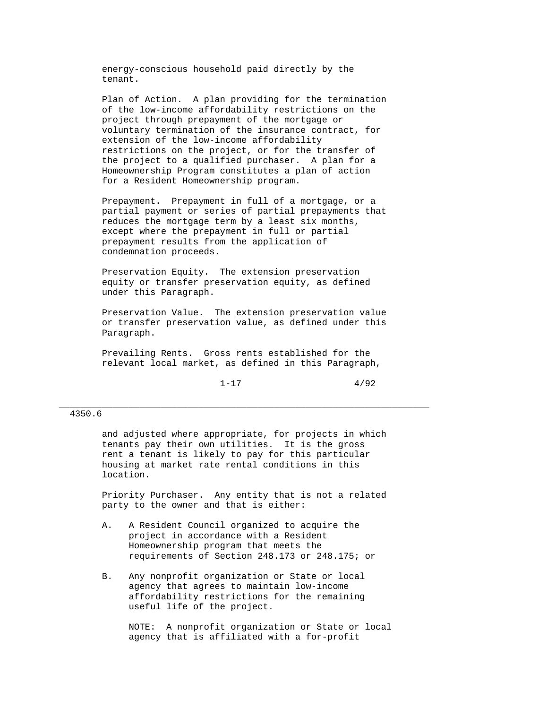energy-conscious household paid directly by the tenant.

 Plan of Action. A plan providing for the termination of the low-income affordability restrictions on the project through prepayment of the mortgage or voluntary termination of the insurance contract, for extension of the low-income affordability restrictions on the project, or for the transfer of the project to a qualified purchaser. A plan for a Homeownership Program constitutes a plan of action for a Resident Homeownership program.

 Prepayment. Prepayment in full of a mortgage, or a partial payment or series of partial prepayments that reduces the mortgage term by a least six months, except where the prepayment in full or partial prepayment results from the application of condemnation proceeds.

 Preservation Equity. The extension preservation equity or transfer preservation equity, as defined under this Paragraph.

 Preservation Value. The extension preservation value or transfer preservation value, as defined under this Paragraph.

 Prevailing Rents. Gross rents established for the relevant local market, as defined in this Paragraph,

 $1-17$   $4/92$ 

#### 4350.6

 and adjusted where appropriate, for projects in which tenants pay their own utilities. It is the gross rent a tenant is likely to pay for this particular housing at market rate rental conditions in this location.

\_\_\_\_\_\_\_\_\_\_\_\_\_\_\_\_\_\_\_\_\_\_\_\_\_\_\_\_\_\_\_\_\_\_\_\_\_\_\_\_\_\_\_\_\_\_\_\_\_\_\_\_\_\_\_\_\_\_\_\_\_\_\_\_\_\_\_\_\_

 Priority Purchaser. Any entity that is not a related party to the owner and that is either:

- A. A Resident Council organized to acquire the project in accordance with a Resident Homeownership program that meets the requirements of Section 248.173 or 248.175; or
- B. Any nonprofit organization or State or local agency that agrees to maintain low-income affordability restrictions for the remaining useful life of the project.

 NOTE: A nonprofit organization or State or local agency that is affiliated with a for-profit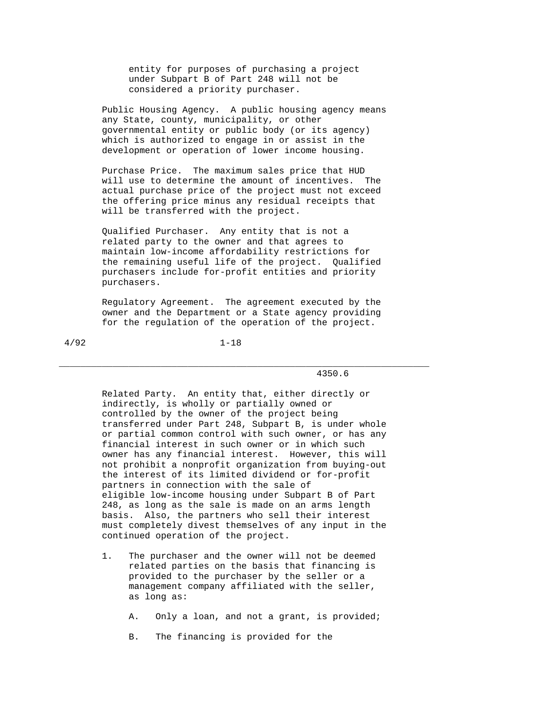entity for purposes of purchasing a project under Subpart B of Part 248 will not be considered a priority purchaser.

 Public Housing Agency. A public housing agency means any State, county, municipality, or other governmental entity or public body (or its agency) which is authorized to engage in or assist in the development or operation of lower income housing.

 Purchase Price. The maximum sales price that HUD will use to determine the amount of incentives. The actual purchase price of the project must not exceed the offering price minus any residual receipts that will be transferred with the project.

 Qualified Purchaser. Any entity that is not a related party to the owner and that agrees to maintain low-income affordability restrictions for the remaining useful life of the project. Qualified purchasers include for-profit entities and priority purchasers.

 Regulatory Agreement. The agreement executed by the owner and the Department or a State agency providing for the regulation of the operation of the project.

\_\_\_\_\_\_\_\_\_\_\_\_\_\_\_\_\_\_\_\_\_\_\_\_\_\_\_\_\_\_\_\_\_\_\_\_\_\_\_\_\_\_\_\_\_\_\_\_\_\_\_\_\_\_\_\_\_\_\_\_\_\_\_\_\_\_\_\_\_

4/92 1-18

## 4350.6

 Related Party. An entity that, either directly or indirectly, is wholly or partially owned or controlled by the owner of the project being transferred under Part 248, Subpart B, is under whole or partial common control with such owner, or has any financial interest in such owner or in which such owner has any financial interest. However, this will not prohibit a nonprofit organization from buying-out the interest of its limited dividend or for-profit partners in connection with the sale of eligible low-income housing under Subpart B of Part 248, as long as the sale is made on an arms length basis. Also, the partners who sell their interest must completely divest themselves of any input in the continued operation of the project.

 1. The purchaser and the owner will not be deemed related parties on the basis that financing is provided to the purchaser by the seller or a management company affiliated with the seller, as long as:

A. Only a loan, and not a grant, is provided;

B. The financing is provided for the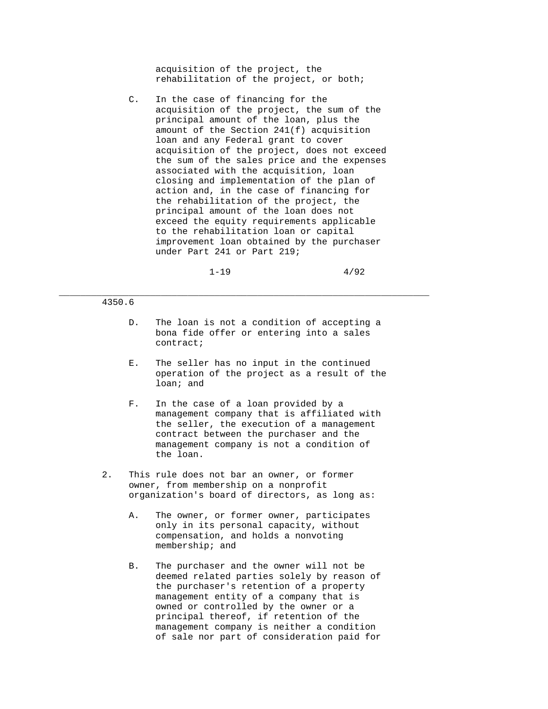acquisition of the project, the rehabilitation of the project, or both;

 C. In the case of financing for the acquisition of the project, the sum of the principal amount of the loan, plus the amount of the Section 241(f) acquisition loan and any Federal grant to cover acquisition of the project, does not exceed the sum of the sales price and the expenses associated with the acquisition, loan closing and implementation of the plan of action and, in the case of financing for the rehabilitation of the project, the principal amount of the loan does not exceed the equity requirements applicable to the rehabilitation loan or capital improvement loan obtained by the purchaser under Part 241 or Part 219;

 $1-19$   $4/92$ 

#### 4350.6

 D. The loan is not a condition of accepting a bona fide offer or entering into a sales contract;

- E. The seller has no input in the continued operation of the project as a result of the loan; and
- F. In the case of a loan provided by a management company that is affiliated with the seller, the execution of a management contract between the purchaser and the management company is not a condition of the loan.
- 2. This rule does not bar an owner, or former owner, from membership on a nonprofit organization's board of directors, as long as:
	- A. The owner, or former owner, participates only in its personal capacity, without compensation, and holds a nonvoting membership; and
	- B. The purchaser and the owner will not be deemed related parties solely by reason of the purchaser's retention of a property management entity of a company that is owned or controlled by the owner or a principal thereof, if retention of the management company is neither a condition of sale nor part of consideration paid for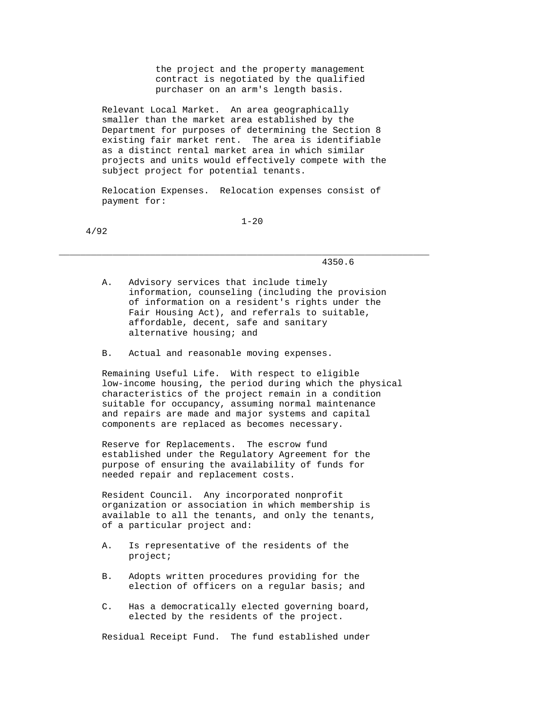the project and the property management contract is negotiated by the qualified purchaser on an arm's length basis.

 Relevant Local Market. An area geographically smaller than the market area established by the Department for purposes of determining the Section 8 existing fair market rent. The area is identifiable as a distinct rental market area in which similar projects and units would effectively compete with the subject project for potential tenants.

 Relocation Expenses. Relocation expenses consist of payment for:

4/92

1-20

\_\_\_\_\_\_\_\_\_\_\_\_\_\_\_\_\_\_\_\_\_\_\_\_\_\_\_\_\_\_\_\_\_\_\_\_\_\_\_\_\_\_\_\_\_\_\_\_\_\_\_\_\_\_\_\_\_\_\_\_\_\_\_\_\_\_\_\_\_

4350.6

- A. Advisory services that include timely information, counseling (including the provision of information on a resident's rights under the Fair Housing Act), and referrals to suitable, affordable, decent, safe and sanitary alternative housing; and
- B. Actual and reasonable moving expenses.

 Remaining Useful Life. With respect to eligible low-income housing, the period during which the physical characteristics of the project remain in a condition suitable for occupancy, assuming normal maintenance and repairs are made and major systems and capital components are replaced as becomes necessary.

 Reserve for Replacements. The escrow fund established under the Regulatory Agreement for the purpose of ensuring the availability of funds for needed repair and replacement costs.

 Resident Council. Any incorporated nonprofit organization or association in which membership is available to all the tenants, and only the tenants, of a particular project and:

- A. Is representative of the residents of the project;
- B. Adopts written procedures providing for the election of officers on a regular basis; and
- C. Has a democratically elected governing board, elected by the residents of the project.

Residual Receipt Fund. The fund established under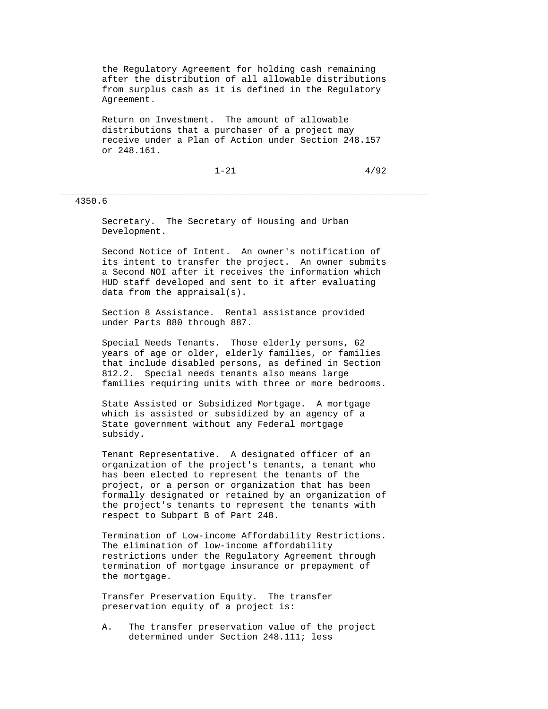the Regulatory Agreement for holding cash remaining after the distribution of all allowable distributions from surplus cash as it is defined in the Regulatory Agreement.

 Return on Investment. The amount of allowable distributions that a purchaser of a project may receive under a Plan of Action under Section 248.157 or 248.161.

\_\_\_\_\_\_\_\_\_\_\_\_\_\_\_\_\_\_\_\_\_\_\_\_\_\_\_\_\_\_\_\_\_\_\_\_\_\_\_\_\_\_\_\_\_\_\_\_\_\_\_\_\_\_\_\_\_\_\_\_\_\_\_\_\_\_\_\_\_

 $1-21$   $4/92$ 

#### 4350.6

 Secretary. The Secretary of Housing and Urban Development.

 Second Notice of Intent. An owner's notification of its intent to transfer the project. An owner submits a Second NOI after it receives the information which HUD staff developed and sent to it after evaluating data from the appraisal(s).

 Section 8 Assistance. Rental assistance provided under Parts 880 through 887.

 Special Needs Tenants. Those elderly persons, 62 years of age or older, elderly families, or families that include disabled persons, as defined in Section 812.2. Special needs tenants also means large families requiring units with three or more bedrooms.

 State Assisted or Subsidized Mortgage. A mortgage which is assisted or subsidized by an agency of a State government without any Federal mortgage subsidy.

 Tenant Representative. A designated officer of an organization of the project's tenants, a tenant who has been elected to represent the tenants of the project, or a person or organization that has been formally designated or retained by an organization of the project's tenants to represent the tenants with respect to Subpart B of Part 248.

 Termination of Low-income Affordability Restrictions. The elimination of low-income affordability restrictions under the Regulatory Agreement through termination of mortgage insurance or prepayment of the mortgage.

 Transfer Preservation Equity. The transfer preservation equity of a project is:

 A. The transfer preservation value of the project determined under Section 248.111; less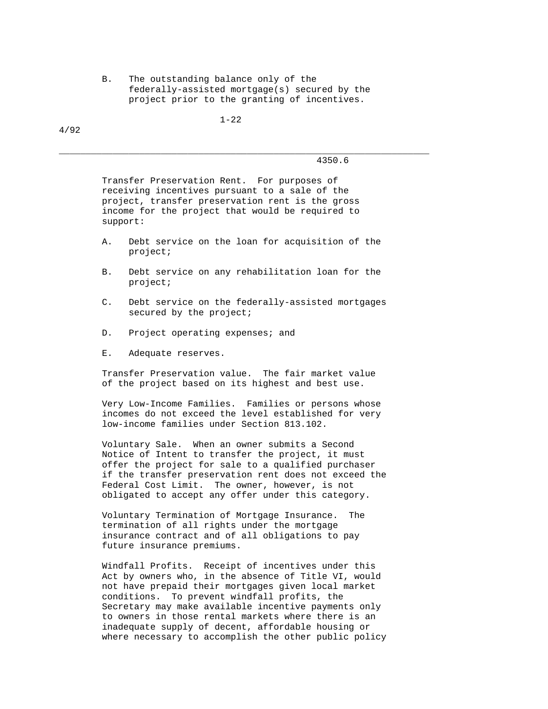B. The outstanding balance only of the federally-assisted mortgage(s) secured by the project prior to the granting of incentives.

1-22

\_\_\_\_\_\_\_\_\_\_\_\_\_\_\_\_\_\_\_\_\_\_\_\_\_\_\_\_\_\_\_\_\_\_\_\_\_\_\_\_\_\_\_\_\_\_\_\_\_\_\_\_\_\_\_\_\_\_\_\_\_\_\_\_\_\_\_\_\_

4/92

4350.6

 Transfer Preservation Rent. For purposes of receiving incentives pursuant to a sale of the project, transfer preservation rent is the gross income for the project that would be required to support:

- A. Debt service on the loan for acquisition of the project;
- B. Debt service on any rehabilitation loan for the project;
- C. Debt service on the federally-assisted mortgages secured by the project;
- D. Project operating expenses; and
- E. Adequate reserves.

 Transfer Preservation value. The fair market value of the project based on its highest and best use.

 Very Low-Income Families. Families or persons whose incomes do not exceed the level established for very low-income families under Section 813.102.

 Voluntary Sale. When an owner submits a Second Notice of Intent to transfer the project, it must offer the project for sale to a qualified purchaser if the transfer preservation rent does not exceed the Federal Cost Limit. The owner, however, is not obligated to accept any offer under this category.

 Voluntary Termination of Mortgage Insurance. The termination of all rights under the mortgage insurance contract and of all obligations to pay future insurance premiums.

 Windfall Profits. Receipt of incentives under this Act by owners who, in the absence of Title VI, would not have prepaid their mortgages given local market conditions. To prevent windfall profits, the Secretary may make available incentive payments only to owners in those rental markets where there is an inadequate supply of decent, affordable housing or where necessary to accomplish the other public policy